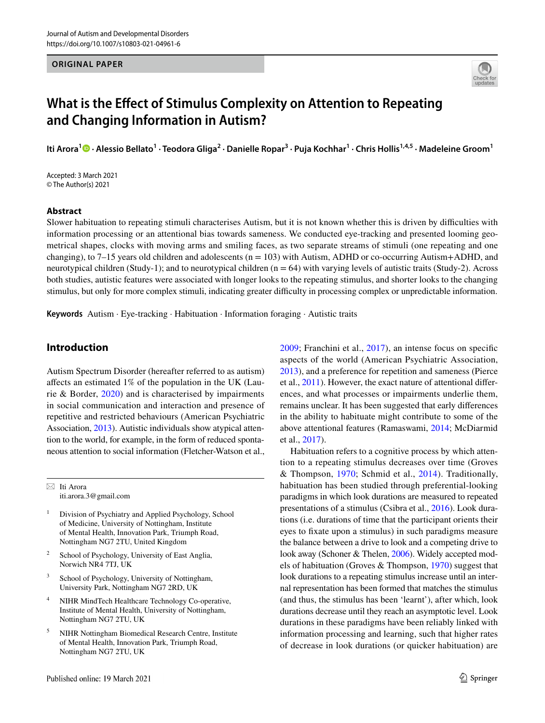### **ORIGINAL PAPER**



# **What is the Efect of Stimulus Complexity on Attention to Repeating and Changing Information in Autism?**

ItiArora<sup>1</sup> © · Alessio Bellato<sup>1</sup> · Teodora Gliga<sup>2</sup> · Danielle Ropar<sup>3</sup> · Puja Kochhar<sup>1</sup> · Chris Hollis<sup>1,4,5</sup> · Madeleine Groom<sup>1</sup>

Accepted: 3 March 2021 © The Author(s) 2021

### **Abstract**

Slower habituation to repeating stimuli characterises Autism, but it is not known whether this is driven by difficulties with information processing or an attentional bias towards sameness. We conducted eye-tracking and presented looming geometrical shapes, clocks with moving arms and smiling faces, as two separate streams of stimuli (one repeating and one changing), to 7–15 years old children and adolescents ( $n = 103$ ) with Autism, ADHD or co-occurring Autism+ADHD, and neurotypical children (Study-1); and to neurotypical children  $(n = 64)$  with varying levels of autistic traits (Study-2). Across both studies, autistic features were associated with longer looks to the repeating stimulus, and shorter looks to the changing stimulus, but only for more complex stimuli, indicating greater difficulty in processing complex or unpredictable information.

**Keywords** Autism · Eye-tracking · Habituation · Information foraging · Autistic traits

# **Introduction**

Autism Spectrum Disorder (hereafter referred to as autism) afects an estimated 1% of the population in the UK (Laurie & Border, [2020](#page-15-0)) and is characterised by impairments in social communication and interaction and presence of repetitive and restricted behaviours (American Psychiatric Association, [2013](#page-14-0)). Autistic individuals show atypical attention to the world, for example, in the form of reduced spontaneous attention to social information (Fletcher-Watson et al.,

 $\boxtimes$  Iti Arora iti.arora.3@gmail.com

- <sup>1</sup> Division of Psychiatry and Applied Psychology, School of Medicine, University of Nottingham, Institute of Mental Health, Innovation Park, Triumph Road, Nottingham NG7 2TU, United Kingdom
- School of Psychology, University of East Anglia, Norwich NR4 7TJ, UK
- <sup>3</sup> School of Psychology, University of Nottingham, University Park, Nottingham NG7 2RD, UK
- <sup>4</sup> NIHR MindTech Healthcare Technology Co-operative, Institute of Mental Health, University of Nottingham, Nottingham NG7 2TU, UK
- <sup>5</sup> NIHR Nottingham Biomedical Research Centre, Institute of Mental Health, Innovation Park, Triumph Road, Nottingham NG7 2TU, UK

Published online: 19 March 2021

[2009;](#page-14-1) Franchini et al., [2017](#page-14-2)), an intense focus on specifc aspects of the world (American Psychiatric Association, [2013](#page-14-0)), and a preference for repetition and sameness (Pierce et al., [2011](#page-15-1)). However, the exact nature of attentional diferences, and what processes or impairments underlie them, remains unclear. It has been suggested that early diferences in the ability to habituate might contribute to some of the above attentional features (Ramaswami, [2014](#page-15-2); McDiarmid et al., [2017\)](#page-15-3).

Habituation refers to a cognitive process by which attention to a repeating stimulus decreases over time (Groves & Thompson, [1970;](#page-15-4) Schmid et al., [2014](#page-15-5)). Traditionally, habituation has been studied through preferential-looking paradigms in which look durations are measured to repeated presentations of a stimulus (Csibra et al., [2016](#page-14-3)). Look durations (i.e. durations of time that the participant orients their eyes to fxate upon a stimulus) in such paradigms measure the balance between a drive to look and a competing drive to look away (Schoner & Thelen, [2006\)](#page-15-6). Widely accepted models of habituation (Groves & Thompson, [1970\)](#page-15-4) suggest that look durations to a repeating stimulus increase until an internal representation has been formed that matches the stimulus (and thus, the stimulus has been 'learnt'), after which, look durations decrease until they reach an asymptotic level. Look durations in these paradigms have been reliably linked with information processing and learning, such that higher rates of decrease in look durations (or quicker habituation) are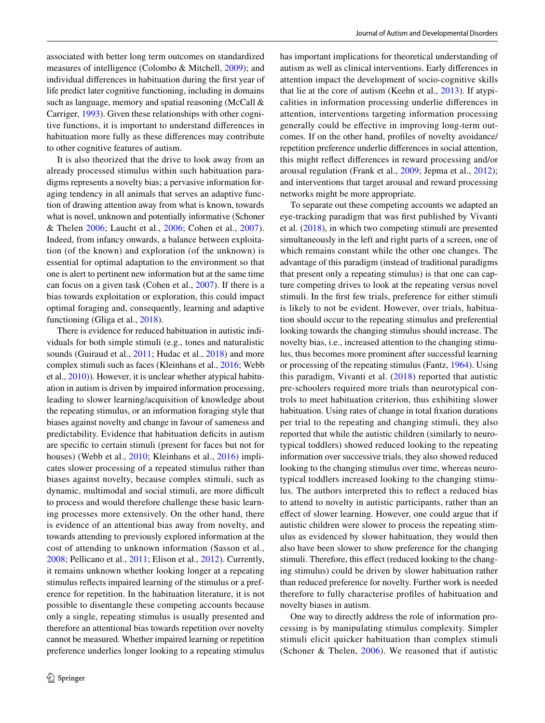associated with better long term outcomes on standardized measures of intelligence (Colombo & Mitchell, [2009\)](#page-14-4); and individual diferences in habituation during the frst year of life predict later cognitive functioning, including in domains such as language, memory and spatial reasoning (McCall & Carriger, [1993](#page-15-7)). Given these relationships with other cognitive functions, it is important to understand diferences in habituation more fully as these diferences may contribute to other cognitive features of autism.

It is also theorized that the drive to look away from an already processed stimulus within such habituation paradigms represents a novelty bias; a pervasive information foraging tendency in all animals that serves an adaptive function of drawing attention away from what is known, towards what is novel, unknown and potentially informative (Schoner & Thelen [2006;](#page-15-6) Laucht et al., [2006;](#page-15-8) Cohen et al., [2007](#page-14-5)). Indeed, from infancy onwards, a balance between exploitation (of the known) and exploration (of the unknown) is essential for optimal adaptation to the environment so that one is alert to pertinent new information but at the same time can focus on a given task (Cohen et al., [2007](#page-14-5)). If there is a bias towards exploitation or exploration, this could impact optimal foraging and, consequently, learning and adaptive functioning (Gliga et al., [2018\)](#page-14-6).

There is evidence for reduced habituation in autistic individuals for both simple stimuli (e.g., tones and naturalistic sounds (Guiraud et al., [2011;](#page-15-9) Hudac et al., [2018](#page-15-10)) and more complex stimuli such as faces (Kleinhans et al., [2016;](#page-15-11) Webb et al., [2010](#page-16-0))). However, it is unclear whether atypical habituation in autism is driven by impaired information processing, leading to slower learning/acquisition of knowledge about the repeating stimulus, or an information foraging style that biases against novelty and change in favour of sameness and predictability. Evidence that habituation deficits in autism are specifc to certain stimuli (present for faces but not for houses) (Webb et al., [2010](#page-16-0); Kleinhans et al., [2016\)](#page-15-11) implicates slower processing of a repeated stimulus rather than biases against novelty, because complex stimuli, such as dynamic, multimodal and social stimuli, are more difficult to process and would therefore challenge these basic learning processes more extensively. On the other hand, there is evidence of an attentional bias away from novelty, and towards attending to previously explored information at the cost of attending to unknown information (Sasson et al., [2008](#page-15-12); Pellicano et al., [2011](#page-15-13); Elison et al., [2012\)](#page-14-7). Currently, it remains unknown whether looking longer at a repeating stimulus refects impaired learning of the stimulus or a preference for repetition. In the habituation literature, it is not possible to disentangle these competing accounts because only a single, repeating stimulus is usually presented and therefore an attentional bias towards repetition over novelty cannot be measured. Whether impaired learning or repetition preference underlies longer looking to a repeating stimulus has important implications for theoretical understanding of autism as well as clinical interventions. Early diferences in attention impact the development of socio-cognitive skills that lie at the core of autism (Keehn et al., [2013](#page-15-14)). If atypicalities in information processing underlie diferences in attention, interventions targeting information processing generally could be efective in improving long-term outcomes. If on the other hand, profles of novelty avoidance/ repetition preference underlie diferences in social attention, this might refect diferences in reward processing and/or arousal regulation (Frank et al., [2009](#page-14-8); Jepma et al., [2012](#page-15-15)); and interventions that target arousal and reward processing networks might be more appropriate.

To separate out these competing accounts we adapted an eye-tracking paradigm that was frst published by Vivanti et al. ([2018\)](#page-16-1), in which two competing stimuli are presented simultaneously in the left and right parts of a screen, one of which remains constant while the other one changes. The advantage of this paradigm (instead of traditional paradigms that present only a repeating stimulus) is that one can capture competing drives to look at the repeating versus novel stimuli. In the frst few trials, preference for either stimuli is likely to not be evident. However, over trials, habituation should occur to the repeating stimulus and preferential looking towards the changing stimulus should increase. The novelty bias, i.e., increased attention to the changing stimulus, thus becomes more prominent after successful learning or processing of the repeating stimulus (Fantz, [1964](#page-14-9)). Using this paradigm, Vivanti et al. [\(2018\)](#page-16-1) reported that autistic pre-schoolers required more trials than neurotypical controls to meet habituation criterion, thus exhibiting slower habituation. Using rates of change in total fxation durations per trial to the repeating and changing stimuli, they also reported that while the autistic children (similarly to neurotypical toddlers) showed reduced looking to the repeating information over successive trials, they also showed reduced looking to the changing stimulus over time, whereas neurotypical toddlers increased looking to the changing stimulus. The authors interpreted this to refect a reduced bias to attend to novelty in autistic participants, rather than an efect of slower learning. However, one could argue that if autistic children were slower to process the repeating stimulus as evidenced by slower habituation, they would then also have been slower to show preference for the changing stimuli. Therefore, this effect (reduced looking to the changing stimulus) could be driven by slower habituation rather than reduced preference for novelty. Further work is needed therefore to fully characterise profles of habituation and novelty biases in autism.

One way to directly address the role of information processing is by manipulating stimulus complexity. Simpler stimuli elicit quicker habituation than complex stimuli (Schoner & Thelen, [2006\)](#page-15-6). We reasoned that if autistic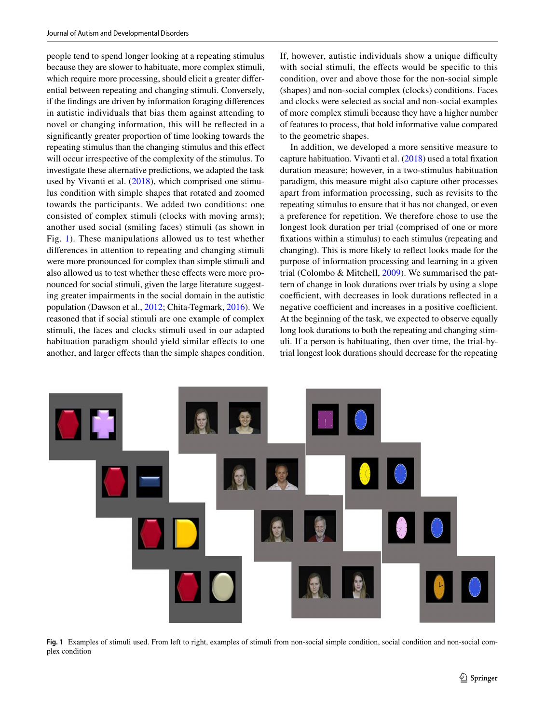people tend to spend longer looking at a repeating stimulus because they are slower to habituate, more complex stimuli, which require more processing, should elicit a greater diferential between repeating and changing stimuli. Conversely, if the fndings are driven by information foraging diferences in autistic individuals that bias them against attending to novel or changing information, this will be refected in a signifcantly greater proportion of time looking towards the repeating stimulus than the changing stimulus and this efect will occur irrespective of the complexity of the stimulus. To investigate these alternative predictions, we adapted the task used by Vivanti et al. [\(2018](#page-16-1)), which comprised one stimulus condition with simple shapes that rotated and zoomed towards the participants. We added two conditions: one consisted of complex stimuli (clocks with moving arms); another used social (smiling faces) stimuli (as shown in Fig. [1](#page-2-0)). These manipulations allowed us to test whether diferences in attention to repeating and changing stimuli were more pronounced for complex than simple stimuli and also allowed us to test whether these efects were more pronounced for social stimuli, given the large literature suggesting greater impairments in the social domain in the autistic population (Dawson et al., [2012;](#page-14-10) Chita-Tegmark, [2016\)](#page-14-11). We reasoned that if social stimuli are one example of complex stimuli, the faces and clocks stimuli used in our adapted habituation paradigm should yield similar effects to one another, and larger efects than the simple shapes condition. If, however, autistic individuals show a unique difficulty with social stimuli, the effects would be specific to this condition, over and above those for the non-social simple (shapes) and non-social complex (clocks) conditions. Faces and clocks were selected as social and non-social examples of more complex stimuli because they have a higher number of features to process, that hold informative value compared to the geometric shapes.

In addition, we developed a more sensitive measure to capture habituation. Vivanti et al. [\(2018](#page-16-1)) used a total fxation duration measure; however, in a two-stimulus habituation paradigm, this measure might also capture other processes apart from information processing, such as revisits to the repeating stimulus to ensure that it has not changed, or even a preference for repetition. We therefore chose to use the longest look duration per trial (comprised of one or more fxations within a stimulus) to each stimulus (repeating and changing). This is more likely to refect looks made for the purpose of information processing and learning in a given trial (Colombo & Mitchell, [2009](#page-14-4)). We summarised the pattern of change in look durations over trials by using a slope coefficient, with decreases in look durations reflected in a negative coefficient and increases in a positive coefficient. At the beginning of the task, we expected to observe equally long look durations to both the repeating and changing stimuli. If a person is habituating, then over time, the trial-bytrial longest look durations should decrease for the repeating

<span id="page-2-0"></span>

**Fig. 1** Examples of stimuli used. From left to right, examples of stimuli from non-social simple condition, social condition and non-social complex condition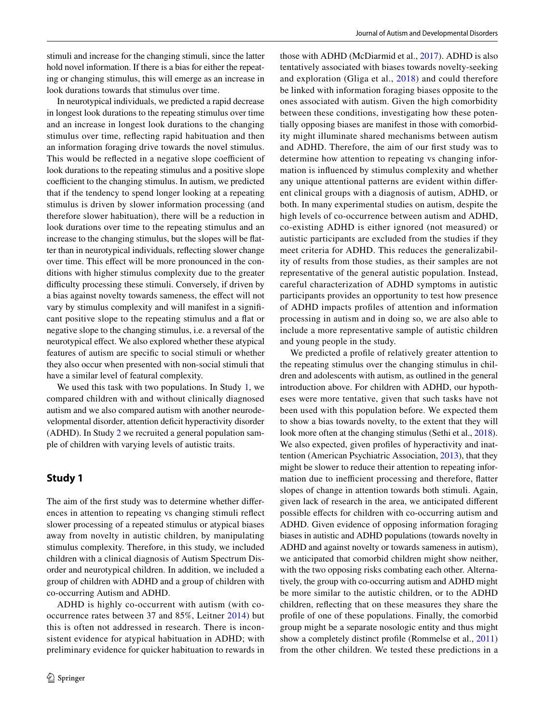stimuli and increase for the changing stimuli, since the latter hold novel information. If there is a bias for either the repeating or changing stimulus, this will emerge as an increase in look durations towards that stimulus over time.

In neurotypical individuals, we predicted a rapid decrease in longest look durations to the repeating stimulus over time and an increase in longest look durations to the changing stimulus over time, refecting rapid habituation and then an information foraging drive towards the novel stimulus. This would be reflected in a negative slope coefficient of look durations to the repeating stimulus and a positive slope coefficient to the changing stimulus. In autism, we predicted that if the tendency to spend longer looking at a repeating stimulus is driven by slower information processing (and therefore slower habituation), there will be a reduction in look durations over time to the repeating stimulus and an increase to the changing stimulus, but the slopes will be fatter than in neurotypical individuals, refecting slower change over time. This efect will be more pronounced in the conditions with higher stimulus complexity due to the greater difficulty processing these stimuli. Conversely, if driven by a bias against novelty towards sameness, the efect will not vary by stimulus complexity and will manifest in a signifcant positive slope to the repeating stimulus and a fat or negative slope to the changing stimulus, i.e. a reversal of the neurotypical effect. We also explored whether these atypical features of autism are specifc to social stimuli or whether they also occur when presented with non-social stimuli that have a similar level of featural complexity.

We used this task with two populations. In Study [1](#page-3-0), we compared children with and without clinically diagnosed autism and we also compared autism with another neurodevelopmental disorder, attention defcit hyperactivity disorder (ADHD). In Study [2](#page-9-0) we recruited a general population sample of children with varying levels of autistic traits.

# <span id="page-3-0"></span>**Study 1**

The aim of the frst study was to determine whether diferences in attention to repeating vs changing stimuli refect slower processing of a repeated stimulus or atypical biases away from novelty in autistic children, by manipulating stimulus complexity. Therefore, in this study, we included children with a clinical diagnosis of Autism Spectrum Disorder and neurotypical children. In addition, we included a group of children with ADHD and a group of children with co-occurring Autism and ADHD.

ADHD is highly co-occurrent with autism (with cooccurrence rates between 37 and 85%, Leitner [2014](#page-15-16)) but this is often not addressed in research. There is inconsistent evidence for atypical habituation in ADHD; with preliminary evidence for quicker habituation to rewards in those with ADHD (McDiarmid et al., [2017](#page-15-3)). ADHD is also tentatively associated with biases towards novelty-seeking and exploration (Gliga et al., [2018](#page-14-6)) and could therefore be linked with information foraging biases opposite to the ones associated with autism. Given the high comorbidity between these conditions, investigating how these potentially opposing biases are manifest in those with comorbidity might illuminate shared mechanisms between autism and ADHD. Therefore, the aim of our frst study was to determine how attention to repeating vs changing information is infuenced by stimulus complexity and whether any unique attentional patterns are evident within diferent clinical groups with a diagnosis of autism, ADHD, or both. In many experimental studies on autism, despite the high levels of co-occurrence between autism and ADHD, co-existing ADHD is either ignored (not measured) or autistic participants are excluded from the studies if they meet criteria for ADHD. This reduces the generalizability of results from those studies, as their samples are not representative of the general autistic population. Instead, careful characterization of ADHD symptoms in autistic participants provides an opportunity to test how presence of ADHD impacts profles of attention and information processing in autism and in doing so, we are also able to include a more representative sample of autistic children and young people in the study.

We predicted a profle of relatively greater attention to the repeating stimulus over the changing stimulus in children and adolescents with autism, as outlined in the general introduction above. For children with ADHD, our hypotheses were more tentative, given that such tasks have not been used with this population before. We expected them to show a bias towards novelty, to the extent that they will look more often at the changing stimulus (Sethi et al., [2018](#page-16-2)). We also expected, given profles of hyperactivity and inattention (American Psychiatric Association, [2013](#page-14-0)), that they might be slower to reduce their attention to repeating information due to inefficient processing and therefore, flatter slopes of change in attention towards both stimuli. Again, given lack of research in the area, we anticipated diferent possible efects for children with co-occurring autism and ADHD. Given evidence of opposing information foraging biases in autistic and ADHD populations (towards novelty in ADHD and against novelty or towards sameness in autism), we anticipated that comorbid children might show neither, with the two opposing risks combating each other. Alternatively, the group with co-occurring autism and ADHD might be more similar to the autistic children, or to the ADHD children, refecting that on these measures they share the profle of one of these populations. Finally, the comorbid group might be a separate nosologic entity and thus might show a completely distinct profle (Rommelse et al., [2011\)](#page-15-17) from the other children. We tested these predictions in a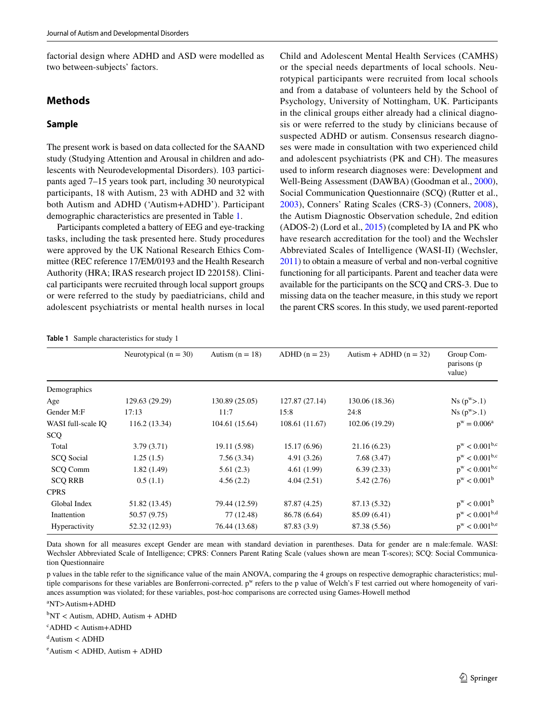factorial design where ADHD and ASD were modelled as two between-subjects' factors.

# **Methods**

# **Sample**

The present work is based on data collected for the SAAND study (Studying Attention and Arousal in children and adolescents with Neurodevelopmental Disorders). 103 participants aged 7–15 years took part, including 30 neurotypical participants, 18 with Autism, 23 with ADHD and 32 with both Autism and ADHD ('Autism+ADHD'). Participant demographic characteristics are presented in Table [1.](#page-4-0)

Participants completed a battery of EEG and eye-tracking tasks, including the task presented here. Study procedures were approved by the UK National Research Ethics Committee (REC reference 17/EM/0193 and the Health Research Authority (HRA; IRAS research project ID 220158). Clinical participants were recruited through local support groups or were referred to the study by paediatricians, child and adolescent psychiatrists or mental health nurses in local

Child and Adolescent Mental Health Services (CAMHS) or the special needs departments of local schools. Neurotypical participants were recruited from local schools and from a database of volunteers held by the School of Psychology, University of Nottingham, UK. Participants in the clinical groups either already had a clinical diagnosis or were referred to the study by clinicians because of suspected ADHD or autism. Consensus research diagnoses were made in consultation with two experienced child and adolescent psychiatrists (PK and CH). The measures used to inform research diagnoses were: Development and Well-Being Assessment (DAWBA) (Goodman et al., [2000](#page-15-18)), Social Communication Questionnaire (SCQ) (Rutter et al., [2003\)](#page-15-19), Conners' Rating Scales (CRS-3) (Conners, [2008](#page-14-12)), the Autism Diagnostic Observation schedule, 2nd edition (ADOS-2) (Lord et al., [2015\)](#page-15-20) (completed by IA and PK who have research accreditation for the tool) and the Wechsler Abbreviated Scales of Intelligence (WASI-II) (Wechsler, [2011\)](#page-16-3) to obtain a measure of verbal and non-verbal cognitive functioning for all participants. Parent and teacher data were available for the participants on the SCQ and CRS-3. Due to missing data on the teacher measure, in this study we report the parent CRS scores. In this study, we used parent-reported

<span id="page-4-0"></span>

| <b>Table 1</b> Sample characteristics for study 1 |  |
|---------------------------------------------------|--|
|                                                   |  |

|                    | Neurotypical $(n = 30)$ | Autism $(n = 18)$ | $ADHD (n = 23)$ | Autism + ADHD $(n = 32)$ | Group Com-<br>parisons (p |  |
|--------------------|-------------------------|-------------------|-----------------|--------------------------|---------------------------|--|
|                    |                         |                   |                 |                          | value)                    |  |
| Demographics       |                         |                   |                 |                          |                           |  |
| Age                | 129.63 (29.29)          | 130.89 (25.05)    | 127.87 (27.14)  | 130.06 (18.36)           | $Ns(p^w > .1)$            |  |
| Gender M:F         | 17:13                   | 11:7              | 15:8            | 24:8                     | $Ns(p^w > 0.1)$           |  |
| WASI full-scale IO | 116.2(13.34)            | 104.61 (15.64)    | 108.61 (11.67)  | 102.06 (19.29)           | $p^w = 0.006^a$           |  |
| SCQ                |                         |                   |                 |                          |                           |  |
| Total              | 3.79(3.71)              | 19.11 (5.98)      | 15.17(6.96)     | 21.16(6.23)              | $p^w < 0.001^{b,c}$       |  |
| <b>SCQ</b> Social  | 1.25(1.5)               | 7.56(3.34)        | 4.91(3.26)      | 7.68(3.47)               | $p^w < 0.001^{b,c}$       |  |
| SCQ Comm           | 1.82(1.49)              | 5.61(2.3)         | 4.61(1.99)      | 6.39(2.33)               | $p^w < 0.001^{b,c}$       |  |
| <b>SCQ RRB</b>     | 0.5(1.1)                | 4.56(2.2)         | 4.04(2.51)      | 5.42(2.76)               | $p^w < 0.001^b$           |  |
| <b>CPRS</b>        |                         |                   |                 |                          |                           |  |
| Global Index       | 51.82 (13.45)           | 79.44 (12.59)     | 87.87 (4.25)    | 87.13 (5.32)             | $p^w < 0.001^b$           |  |
| Inattention        | 50.57 (9.75)            | 77 (12.48)        | 86.78 (6.64)    | 85.09 (6.41)             | $p^w < 0.001^{b,d}$       |  |
| Hyperactivity      | 52.32 (12.93)           | 76.44 (13.68)     | 87.83 (3.9)     | 87.38 (5.56)             | $p^w < 0.001^{b,e}$       |  |

Data shown for all measures except Gender are mean with standard deviation in parentheses. Data for gender are n male:female. WASI: Wechsler Abbreviated Scale of Intelligence; CPRS: Conners Parent Rating Scale (values shown are mean T-scores); SCQ: Social Communication Questionnaire

p values in the table refer to the signifcance value of the main ANOVA, comparing the 4 groups on respective demographic characteristics; multiple comparisons for these variables are Bonferroni-corrected. p<sup>w</sup> refers to the p value of Welch's F test carried out where homogeneity of variances assumption was violated; for these variables, post-hoc comparisons are corrected using Games-Howell method

a NT>Autism+ADHD

b NT < Autism, ADHD, Autism + ADHD

c ADHD < Autism+ADHD

d Autism < ADHD

e Autism < ADHD, Autism + ADHD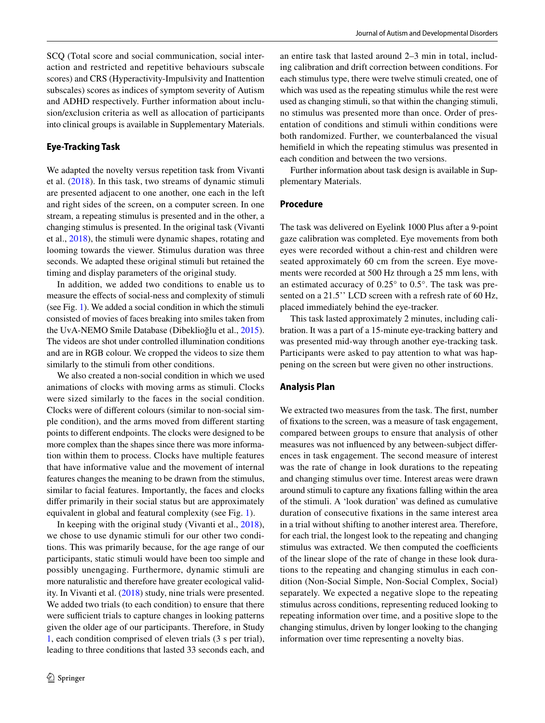SCQ (Total score and social communication, social interaction and restricted and repetitive behaviours subscale scores) and CRS (Hyperactivity-Impulsivity and Inattention subscales) scores as indices of symptom severity of Autism and ADHD respectively. Further information about inclusion/exclusion criteria as well as allocation of participants into clinical groups is available in Supplementary Materials.

### **Eye‑Tracking Task**

We adapted the novelty versus repetition task from Vivanti et al. ([2018](#page-16-1)). In this task, two streams of dynamic stimuli are presented adjacent to one another, one each in the left and right sides of the screen, on a computer screen. In one stream, a repeating stimulus is presented and in the other, a changing stimulus is presented. In the original task (Vivanti et al., [2018\)](#page-16-1), the stimuli were dynamic shapes, rotating and looming towards the viewer. Stimulus duration was three seconds. We adapted these original stimuli but retained the timing and display parameters of the original study.

In addition, we added two conditions to enable us to measure the efects of social-ness and complexity of stimuli (see Fig. [1\)](#page-2-0). We added a social condition in which the stimuli consisted of movies of faces breaking into smiles taken from the UvA-NEMO Smile Database (Dibeklioğlu et al., [2015](#page-14-13)). The videos are shot under controlled illumination conditions and are in RGB colour. We cropped the videos to size them similarly to the stimuli from other conditions.

We also created a non-social condition in which we used animations of clocks with moving arms as stimuli. Clocks were sized similarly to the faces in the social condition. Clocks were of diferent colours (similar to non-social simple condition), and the arms moved from diferent starting points to diferent endpoints. The clocks were designed to be more complex than the shapes since there was more information within them to process. Clocks have multiple features that have informative value and the movement of internal features changes the meaning to be drawn from the stimulus, similar to facial features. Importantly, the faces and clocks difer primarily in their social status but are approximately equivalent in global and featural complexity (see Fig. [1](#page-2-0)).

In keeping with the original study (Vivanti et al., [2018](#page-16-1)), we chose to use dynamic stimuli for our other two conditions. This was primarily because, for the age range of our participants, static stimuli would have been too simple and possibly unengaging. Furthermore, dynamic stimuli are more naturalistic and therefore have greater ecological validity. In Vivanti et al. ([2018](#page-16-1)) study, nine trials were presented. We added two trials (to each condition) to ensure that there were sufficient trials to capture changes in looking patterns given the older age of our participants. Therefore, in Study [1](#page-3-0), each condition comprised of eleven trials (3 s per trial), leading to three conditions that lasted 33 seconds each, and an entire task that lasted around 2–3 min in total, including calibration and drift correction between conditions. For each stimulus type, there were twelve stimuli created, one of which was used as the repeating stimulus while the rest were used as changing stimuli, so that within the changing stimuli, no stimulus was presented more than once. Order of presentation of conditions and stimuli within conditions were both randomized. Further, we counterbalanced the visual hemifeld in which the repeating stimulus was presented in each condition and between the two versions.

Further information about task design is available in Supplementary Materials.

# **Procedure**

The task was delivered on Eyelink 1000 Plus after a 9-point gaze calibration was completed. Eye movements from both eyes were recorded without a chin-rest and children were seated approximately 60 cm from the screen. Eye movements were recorded at 500 Hz through a 25 mm lens, with an estimated accuracy of 0.25° to 0.5°. The task was presented on a 21.5'' LCD screen with a refresh rate of 60 Hz, placed immediately behind the eye-tracker.

This task lasted approximately 2 minutes, including calibration. It was a part of a 15-minute eye-tracking battery and was presented mid-way through another eye-tracking task. Participants were asked to pay attention to what was happening on the screen but were given no other instructions.

#### **Analysis Plan**

We extracted two measures from the task. The first, number of fxations to the screen, was a measure of task engagement, compared between groups to ensure that analysis of other measures was not infuenced by any between-subject diferences in task engagement. The second measure of interest was the rate of change in look durations to the repeating and changing stimulus over time. Interest areas were drawn around stimuli to capture any fxations falling within the area of the stimuli. A 'look duration' was defned as cumulative duration of consecutive fxations in the same interest area in a trial without shifting to another interest area. Therefore, for each trial, the longest look to the repeating and changing stimulus was extracted. We then computed the coefficients of the linear slope of the rate of change in these look durations to the repeating and changing stimulus in each condition (Non-Social Simple, Non-Social Complex, Social) separately. We expected a negative slope to the repeating stimulus across conditions, representing reduced looking to repeating information over time, and a positive slope to the changing stimulus, driven by longer looking to the changing information over time representing a novelty bias.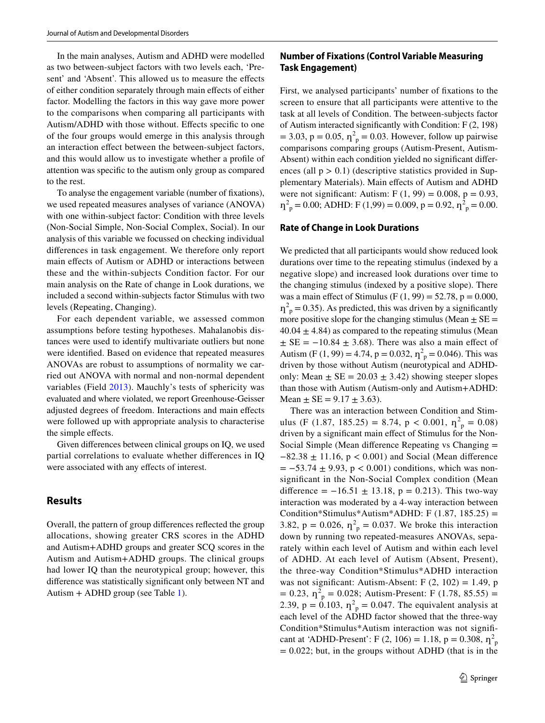In the main analyses, Autism and ADHD were modelled as two between-subject factors with two levels each, 'Present' and 'Absent'. This allowed us to measure the effects of either condition separately through main efects of either factor. Modelling the factors in this way gave more power to the comparisons when comparing all participants with Autism/ADHD with those without. Efects specifc to one of the four groups would emerge in this analysis through an interaction effect between the between-subject factors, and this would allow us to investigate whether a profle of attention was specifc to the autism only group as compared to the rest.

To analyse the engagement variable (number of fxations), we used repeated measures analyses of variance (ANOVA) with one within-subject factor: Condition with three levels (Non-Social Simple, Non-Social Complex, Social). In our analysis of this variable we focussed on checking individual diferences in task engagement. We therefore only report main efects of Autism or ADHD or interactions between these and the within-subjects Condition factor. For our main analysis on the Rate of change in Look durations, we included a second within-subjects factor Stimulus with two levels (Repeating, Changing).

For each dependent variable, we assessed common assumptions before testing hypotheses. Mahalanobis distances were used to identify multivariate outliers but none were identifed. Based on evidence that repeated measures ANOVAs are robust to assumptions of normality we carried out ANOVA with normal and non-normal dependent variables (Field [2013](#page-14-14)). Mauchly's tests of sphericity was evaluated and where violated, we report Greenhouse-Geisser adjusted degrees of freedom. Interactions and main efects were followed up with appropriate analysis to characterise the simple effects.

Given diferences between clinical groups on IQ, we used partial correlations to evaluate whether diferences in IQ were associated with any efects of interest.

### **Results**

Overall, the pattern of group diferences refected the group allocations, showing greater CRS scores in the ADHD and Autism+ADHD groups and greater SCQ scores in the Autism and Autism+ADHD groups. The clinical groups had lower IQ than the neurotypical group; however, this diference was statistically signifcant only between NT and Autism + ADHD group (see Table [1\)](#page-4-0).

# **Number of Fixations (Control Variable Measuring Task Engagement)**

First, we analysed participants' number of fxations to the screen to ensure that all participants were attentive to the task at all levels of Condition. The between-subjects factor of Autism interacted signifcantly with Condition: F (2, 198)  $= 3.03$ ,  $p = 0.05$ ,  $\eta_p^2 = 0.03$ . However, follow up pairwise comparisons comparing groups (Autism-Present, Autism-Absent) within each condition yielded no signifcant diferences (all  $p > 0.1$ ) (descriptive statistics provided in Supplementary Materials). Main effects of Autism and ADHD were not significant: Autism: F  $(1, 99) = 0.008$ ,  $p = 0.93$ ,  $\eta_{\text{p}}^2 = 0.00$ ; ADHD: F (1,99) = 0.009, p = 0.92,  $\eta_{\text{p}}^2 = 0.00$ .

#### **Rate of Change in Look Durations**

We predicted that all participants would show reduced look durations over time to the repeating stimulus (indexed by a negative slope) and increased look durations over time to the changing stimulus (indexed by a positive slope). There was a main effect of Stimulus (F  $(1, 99) = 52.78$ , p = 0.000,  $\eta_p^2$  = 0.35). As predicted, this was driven by a significantly more positive slope for the changing stimulus (Mean  $\pm$  SE =  $40.04 \pm 4.84$ ) as compared to the repeating stimulus (Mean  $\pm$  SE = -10.84  $\pm$  3.68). There was also a main effect of Autism (F (1, 99) = 4.74, p = 0.032,  $\eta_p^2 = 0.046$ ). This was driven by those without Autism (neurotypical and ADHDonly: Mean  $\pm$  SE = 20.03  $\pm$  3.42) showing steeper slopes than those with Autism (Autism-only and Autism+ADHD: Mean  $\pm$  SE = 9.17  $\pm$  3.63).

There was an interaction between Condition and Stimulus (F (1.87, 185.25) = 8.74, p < 0.001,  $\eta^2$ <sub>p</sub> = 0.08) driven by a signifcant main efect of Stimulus for the Non-Social Simple (Mean diference Repeating vs Changing = −82.38 ± 11.16, p < 0.001) and Social (Mean diference  $= -53.74 \pm 9.93$ , p < 0.001) conditions, which was nonsignifcant in the Non-Social Complex condition (Mean difference =  $-16.51 \pm 13.18$ , p = 0.213). This two-way interaction was moderated by a 4-way interaction between Condition\*Stimulus\*Autism\*ADHD: F  $(1.87, 185.25)$  = 3.82,  $p = 0.026$ ,  $\eta_{p}^{2} = 0.037$ . We broke this interaction down by running two repeated-measures ANOVAs, separately within each level of Autism and within each level of ADHD. At each level of Autism (Absent, Present), the three-way Condition\*Stimulus\*ADHD interaction was not significant: Autism-Absent: F  $(2, 102) = 1.49$ , p  $= 0.23$ ,  $\eta_p^2 = 0.028$ ; Autism-Present: F (1.78, 85.55) = 2.39,  $p = 0.103$ ,  $\eta^2$ <sub>p</sub> = 0.047. The equivalent analysis at each level of the ADHD factor showed that the three-way Condition\*Stimulus\*Autism interaction was not signifcant at 'ADHD-Present': F (2, 106) = 1.18, p = 0.308,  $\eta_p^2$  $= 0.022$ ; but, in the groups without ADHD (that is in the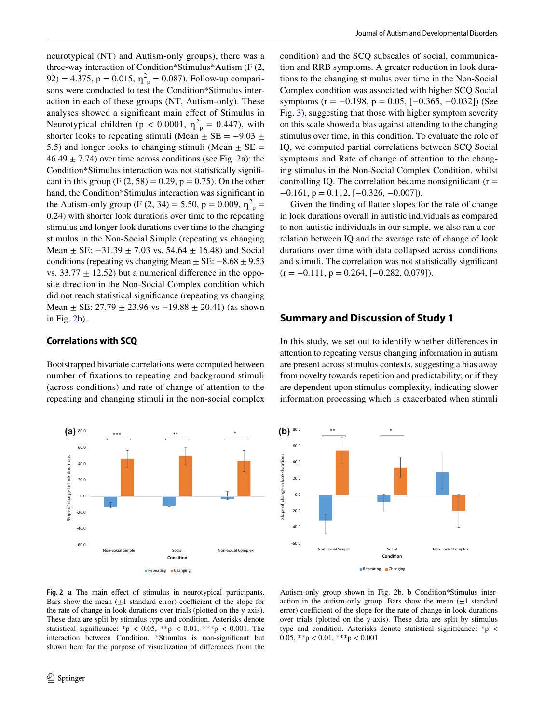neurotypical (NT) and Autism-only groups), there was a three-way interaction of Condition\*Stimulus\*Autism (F (2, 92) = 4.375, p = 0.015,  $\eta^2$ <sub>p</sub> = 0.087). Follow-up comparisons were conducted to test the Condition\*Stimulus interaction in each of these groups (NT, Autism-only). These analyses showed a signifcant main efect of Stimulus in Neurotypical children ( $p < 0.0001$ ,  $\eta_p^2 = 0.447$ ), with shorter looks to repeating stimuli (Mean  $\pm$  SE = -9.03  $\pm$ 5.5) and longer looks to changing stimuli (Mean  $\pm$  SE =  $46.49 \pm 7.74$ ) over time across conditions (see Fig. [2a](#page-7-0)); the Condition\*Stimulus interaction was not statistically signifcant in this group (F  $(2, 58) = 0.29$ , p = 0.75). On the other hand, the Condition\*Stimulus interaction was signifcant in the Autism-only group (F  $(2, 34) = 5.50$ , p = 0.009,  $\eta_p^2$  = 0.24) with shorter look durations over time to the repeating stimulus and longer look durations over time to the changing stimulus in the Non-Social Simple (repeating vs changing Mean  $\pm$  SE:  $-31.39 \pm 7.03$  vs. 54.64  $\pm$  16.48) and Social conditions (repeating vs changing Mean  $\pm$  SE:  $-8.68 \pm 9.53$ vs.  $33.77 \pm 12.52$ ) but a numerical difference in the opposite direction in the Non-Social Complex condition which did not reach statistical signifcance (repeating vs changing Mean  $\pm$  SE: 27.79  $\pm$  23.96 vs  $-19.88 \pm 20.41$ ) (as shown in Fig. [2b](#page-7-0)).

### **Correlations with SCQ**

Bootstrapped bivariate correlations were computed between number of fxations to repeating and background stimuli (across conditions) and rate of change of attention to the repeating and changing stimuli in the non-social complex



condition) and the SCQ subscales of social, communication and RRB symptoms. A greater reduction in look durations to the changing stimulus over time in the Non-Social Complex condition was associated with higher SCQ Social symptoms ( $r = -0.198$ ,  $p = 0.05$ ,  $[-0.365, -0.032]$ ) (See Fig. [3](#page-8-0)), suggesting that those with higher symptom severity on this scale showed a bias against attending to the changing stimulus over time, in this condition. To evaluate the role of IQ, we computed partial correlations between SCQ Social symptoms and Rate of change of attention to the changing stimulus in the Non-Social Complex Condition, whilst controlling IQ. The correlation became nonsignificant  $(r =$  $-0.161$ ,  $p = 0.112$ ,  $[-0.326, -0.007]$ .

Given the fnding of fatter slopes for the rate of change in look durations overall in autistic individuals as compared to non-autistic individuals in our sample, we also ran a correlation between IQ and the average rate of change of look durations over time with data collapsed across conditions and stimuli. The correlation was not statistically signifcant  $(r = -0.111, p = 0.264, [-0.282, 0.079]).$ 

## **Summary and Discussion of Study 1**

In this study, we set out to identify whether diferences in attention to repeating versus changing information in autism are present across stimulus contexts, suggesting a bias away from novelty towards repetition and predictability; or if they are dependent upon stimulus complexity, indicating slower information processing which is exacerbated when stimuli



<span id="page-7-0"></span>**Fig. 2 a** The main efect of stimulus in neurotypical participants. Bars show the mean  $(\pm 1)$  standard error) coefficient of the slope for the rate of change in look durations over trials (plotted on the y-axis). These data are split by stimulus type and condition. Asterisks denote statistical significance: \*p < 0.05, \*\*p < 0.01, \*\*\*p < 0.001. The interaction between Condition. \*Stimulus is non-signifcant but shown here for the purpose of visualization of diferences from the

Autism-only group shown in Fig. 2b. **b** Condition\*Stimulus interaction in the autism-only group. Bars show the mean  $(\pm 1)$  standard error) coefficient of the slope for the rate of change in look durations over trials (plotted on the y-axis). These data are split by stimulus type and condition. Asterisks denote statistical signifcance: \*p < 0.05, \*\*p < 0.01, \*\*\*p < 0.001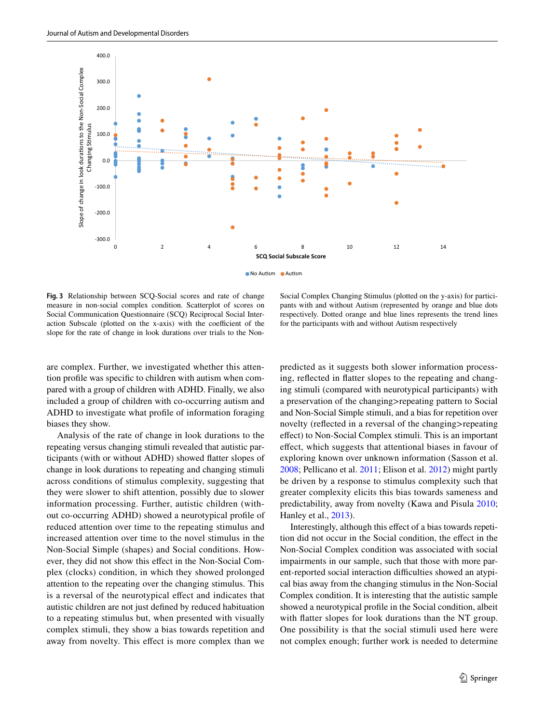

<span id="page-8-0"></span>**Fig. 3** Relationship between SCQ-Social scores and rate of change measure in non-social complex condition*.* Scatterplot of scores on Social Communication Questionnaire (SCQ) Reciprocal Social Interaction Subscale (plotted on the x-axis) with the coefficient of the slope for the rate of change in look durations over trials to the Non-

Social Complex Changing Stimulus (plotted on the y-axis) for participants with and without Autism (represented by orange and blue dots respectively. Dotted orange and blue lines represents the trend lines for the participants with and without Autism respectively

are complex. Further, we investigated whether this attention profle was specifc to children with autism when compared with a group of children with ADHD. Finally, we also included a group of children with co-occurring autism and ADHD to investigate what profle of information foraging biases they show.

Analysis of the rate of change in look durations to the repeating versus changing stimuli revealed that autistic participants (with or without ADHD) showed fatter slopes of change in look durations to repeating and changing stimuli across conditions of stimulus complexity, suggesting that they were slower to shift attention, possibly due to slower information processing. Further, autistic children (without co-occurring ADHD) showed a neurotypical profle of reduced attention over time to the repeating stimulus and increased attention over time to the novel stimulus in the Non-Social Simple (shapes) and Social conditions. However, they did not show this efect in the Non-Social Complex (clocks) condition, in which they showed prolonged attention to the repeating over the changing stimulus. This is a reversal of the neurotypical efect and indicates that autistic children are not just defned by reduced habituation to a repeating stimulus but, when presented with visually complex stimuli, they show a bias towards repetition and away from novelty. This effect is more complex than we predicted as it suggests both slower information processing, refected in fatter slopes to the repeating and changing stimuli (compared with neurotypical participants) with a preservation of the changing>repeating pattern to Social and Non-Social Simple stimuli, and a bias for repetition over novelty (refected in a reversal of the changing>repeating efect) to Non-Social Complex stimuli. This is an important efect, which suggests that attentional biases in favour of exploring known over unknown information (Sasson et al. [2008](#page-15-12); Pellicano et al. [2011](#page-15-13); Elison et al. [2012\)](#page-14-7) might partly be driven by a response to stimulus complexity such that greater complexity elicits this bias towards sameness and predictability, away from novelty (Kawa and Pisula [2010](#page-15-21); Hanley et al., [2013](#page-15-22)).

Interestingly, although this efect of a bias towards repetition did not occur in the Social condition, the efect in the Non-Social Complex condition was associated with social impairments in our sample, such that those with more parent-reported social interaction difficulties showed an atypical bias away from the changing stimulus in the Non-Social Complex condition. It is interesting that the autistic sample showed a neurotypical profle in the Social condition, albeit with fatter slopes for look durations than the NT group. One possibility is that the social stimuli used here were not complex enough; further work is needed to determine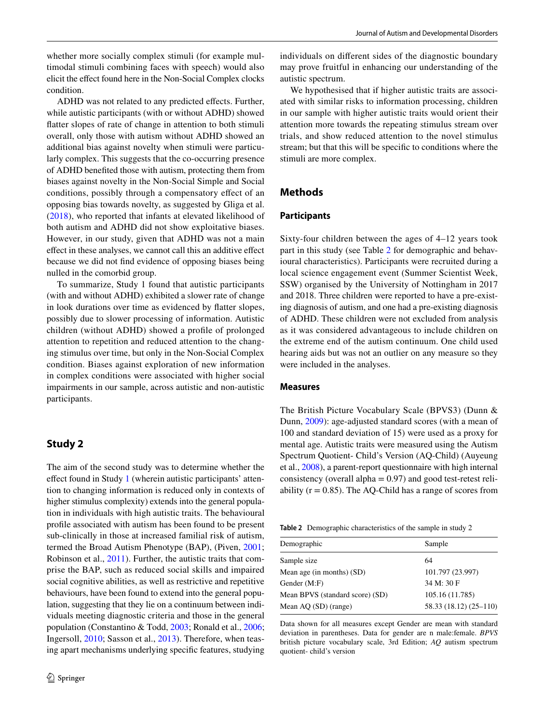whether more socially complex stimuli (for example multimodal stimuli combining faces with speech) would also elicit the efect found here in the Non-Social Complex clocks condition.

ADHD was not related to any predicted effects. Further, while autistic participants (with or without ADHD) showed fatter slopes of rate of change in attention to both stimuli overall, only those with autism without ADHD showed an additional bias against novelty when stimuli were particularly complex. This suggests that the co-occurring presence of ADHD benefted those with autism, protecting them from biases against novelty in the Non-Social Simple and Social conditions, possibly through a compensatory efect of an opposing bias towards novelty, as suggested by Gliga et al. [\(2018\)](#page-14-6), who reported that infants at elevated likelihood of both autism and ADHD did not show exploitative biases. However, in our study, given that ADHD was not a main efect in these analyses, we cannot call this an additive efect because we did not fnd evidence of opposing biases being nulled in the comorbid group.

To summarize, Study 1 found that autistic participants (with and without ADHD) exhibited a slower rate of change in look durations over time as evidenced by fatter slopes, possibly due to slower processing of information. Autistic children (without ADHD) showed a profle of prolonged attention to repetition and reduced attention to the changing stimulus over time, but only in the Non-Social Complex condition. Biases against exploration of new information in complex conditions were associated with higher social impairments in our sample, across autistic and non-autistic participants.

# <span id="page-9-0"></span>**Study 2**

The aim of the second study was to determine whether the efect found in Study [1](#page-3-0) (wherein autistic participants' attention to changing information is reduced only in contexts of higher stimulus complexity) extends into the general population in individuals with high autistic traits. The behavioural profle associated with autism has been found to be present sub-clinically in those at increased familial risk of autism, termed the Broad Autism Phenotype (BAP), (Piven, [2001](#page-15-23); Robinson et al., [2011](#page-15-24)). Further, the autistic traits that comprise the BAP, such as reduced social skills and impaired social cognitive abilities, as well as restrictive and repetitive behaviours, have been found to extend into the general population, suggesting that they lie on a continuum between individuals meeting diagnostic criteria and those in the general population (Constantino & Todd, [2003](#page-14-15); Ronald et al., [2006](#page-15-25); Ingersoll, [2010](#page-15-26); Sasson et al., [2013\)](#page-15-27). Therefore, when teasing apart mechanisms underlying specifc features, studying individuals on diferent sides of the diagnostic boundary may prove fruitful in enhancing our understanding of the autistic spectrum.

We hypothesised that if higher autistic traits are associated with similar risks to information processing, children in our sample with higher autistic traits would orient their attention more towards the repeating stimulus stream over trials, and show reduced attention to the novel stimulus stream; but that this will be specifc to conditions where the stimuli are more complex.

### **Methods**

### **Participants**

Sixty-four children between the ages of 4–12 years took part in this study (see Table [2](#page-9-1) for demographic and behavioural characteristics). Participants were recruited during a local science engagement event (Summer Scientist Week, SSW) organised by the University of Nottingham in 2017 and 2018. Three children were reported to have a pre-existing diagnosis of autism, and one had a pre-existing diagnosis of ADHD. These children were not excluded from analysis as it was considered advantageous to include children on the extreme end of the autism continuum. One child used hearing aids but was not an outlier on any measure so they were included in the analyses.

#### **Measures**

The British Picture Vocabulary Scale (BPVS3) (Dunn & Dunn, [2009\)](#page-14-16): age-adjusted standard scores (with a mean of 100 and standard deviation of 15) were used as a proxy for mental age. Autistic traits were measured using the Autism Spectrum Quotient- Child's Version (AQ-Child) (Auyeung et al., [2008\)](#page-14-17), a parent-report questionnaire with high internal consistency (overall alpha  $= 0.97$ ) and good test-retest reliability  $(r = 0.85)$ . The AQ-Child has a range of scores from

<span id="page-9-1"></span>**Table 2** Demographic characteristics of the sample in study 2

| Demographic                     | Sample                 |
|---------------------------------|------------------------|
| Sample size                     | 64                     |
| Mean age (in months) (SD)       | 101.797 (23.997)       |
| Gender $(M:F)$                  | 34 M: 30 F             |
| Mean BPVS (standard score) (SD) | 105.16 (11.785)        |
| Mean AQ (SD) (range)            | 58.33 (18.12) (25–110) |
|                                 |                        |

Data shown for all measures except Gender are mean with standard deviation in parentheses. Data for gender are n male:female. *BPVS* british picture vocabulary scale, 3rd Edition; *AQ* autism spectrum quotient- child's version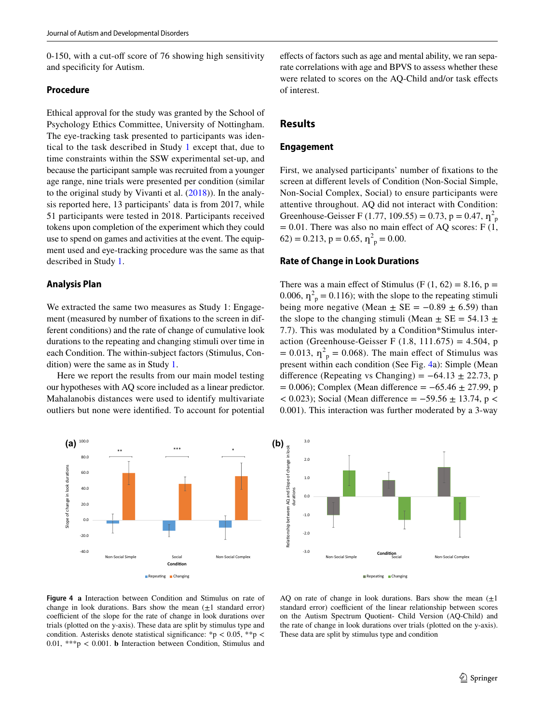0-150, with a cut-off score of 76 showing high sensitivity and specifcity for Autism.

### **Procedure**

Ethical approval for the study was granted by the School of Psychology Ethics Committee, University of Nottingham. The eye-tracking task presented to participants was identical to the task described in Study [1](#page-3-0) except that, due to time constraints within the SSW experimental set-up, and because the participant sample was recruited from a younger age range, nine trials were presented per condition (similar to the original study by Vivanti et al. [\(2018](#page-16-1))). In the analysis reported here, 13 participants' data is from 2017, while 51 participants were tested in 2018. Participants received tokens upon completion of the experiment which they could use to spend on games and activities at the event. The equipment used and eye-tracking procedure was the same as that described in Study [1.](#page-3-0)

### **Analysis Plan**

We extracted the same two measures as Study 1: Engagement (measured by number of fxations to the screen in different conditions) and the rate of change of cumulative look durations to the repeating and changing stimuli over time in each Condition. The within-subject factors (Stimulus, Condition) were the same as in Study [1](#page-3-0).

Here we report the results from our main model testing our hypotheses with AQ score included as a linear predictor. Mahalanobis distances were used to identify multivariate outliers but none were identifed. To account for potential



efects of factors such as age and mental ability, we ran separate correlations with age and BPVS to assess whether these were related to scores on the AQ-Child and/or task efects of interest.

## **Results**

#### **Engagement**

First, we analysed participants' number of fxations to the screen at diferent levels of Condition (Non-Social Simple, Non-Social Complex, Social) to ensure participants were attentive throughout. AQ did not interact with Condition: Greenhouse-Geisser F (1.77, 109.55) = 0.73, p = 0.47,  $\eta^2$ <sub>p</sub>  $= 0.01$ . There was also no main effect of AQ scores: F (1,  $62$ ) = 0.213, p = 0.65,  $\eta^2$ <sub>p</sub> = 0.00.

### **Rate of Change in Look Durations**

There was a main effect of Stimulus (F  $(1, 62) = 8.16$ , p = 0.006,  $\eta_p^2 = 0.116$ ); with the slope to the repeating stimuli being more negative (Mean  $\pm$  SE = -0.89  $\pm$  6.59) than the slope to the changing stimuli (Mean  $\pm$  SE = 54.13  $\pm$ 7.7). This was modulated by a Condition\*Stimulus interaction (Greenhouse-Geisser F  $(1.8, 111.675) = 4.504$ , p  $= 0.013$ ,  $\eta_p^2 = 0.068$ ). The main effect of Stimulus was present within each condition (See Fig. [4](#page-10-0)a): Simple (Mean difference (Repeating vs Changing) =  $-64.13 \pm 22.73$ , p  $= 0.006$ ); Complex (Mean difference  $= -65.46 \pm 27.99$ , p  $<$  0.023); Social (Mean difference = -59.56  $\pm$  13.74, p < 0.001). This interaction was further moderated by a 3-way



<span id="page-10-0"></span>**Figure 4 a** Interaction between Condition and Stimulus on rate of change in look durations. Bars show the mean  $(\pm 1)$  standard error) coefficient of the slope for the rate of change in look durations over trials (plotted on the y-axis). These data are split by stimulus type and condition. Asterisks denote statistical significance: \*p < 0.05, \*\*p < 0.01, \*\*\*p < 0.001. **b** Interaction between Condition, Stimulus and

AQ on rate of change in look durations. Bars show the mean  $(\pm 1)$ standard error) coefficient of the linear relationship between scores on the Autism Spectrum Quotient- Child Version (AQ-Child) and the rate of change in look durations over trials (plotted on the y-axis). These data are split by stimulus type and condition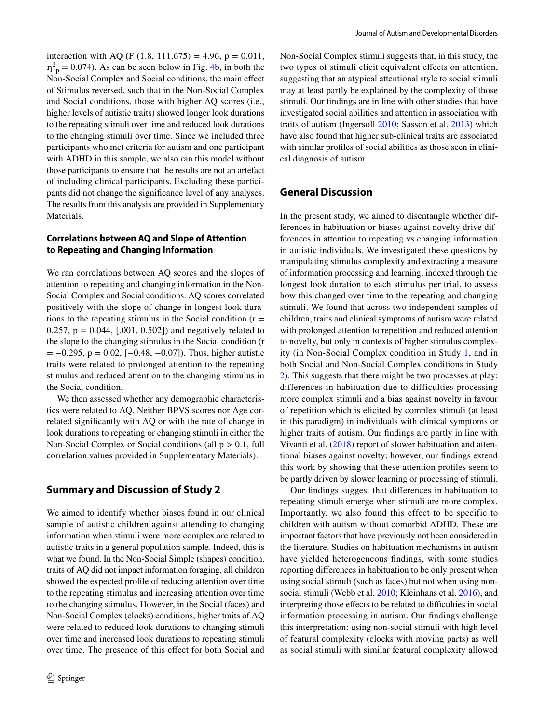interaction with AQ (F (1.8, 111.675) = 4.96, p = 0.011,  $\eta_p^2 = 0.074$ . As can be seen below in Fig. [4b](#page-10-0), in both the Non-Social Complex and Social conditions, the main efect of Stimulus reversed, such that in the Non-Social Complex and Social conditions, those with higher AQ scores (i.e., higher levels of autistic traits) showed longer look durations to the repeating stimuli over time and reduced look durations to the changing stimuli over time. Since we included three participants who met criteria for autism and one participant with ADHD in this sample, we also ran this model without those participants to ensure that the results are not an artefact of including clinical participants. Excluding these participants did not change the signifcance level of any analyses. The results from this analysis are provided in Supplementary Materials.

# **Correlations between AQ and Slope of Attention to Repeating and Changing Information**

We ran correlations between AQ scores and the slopes of attention to repeating and changing information in the Non-Social Complex and Social conditions. AQ scores correlated positively with the slope of change in longest look durations to the repeating stimulus in the Social condition  $(r =$ 0.257,  $p = 0.044$ , [.001, 0.502]) and negatively related to the slope to the changing stimulus in the Social condition (r  $= -0.295$ , p = 0.02, [ $-0.48$ ,  $-0.07$ ]). Thus, higher autistic traits were related to prolonged attention to the repeating stimulus and reduced attention to the changing stimulus in the Social condition.

We then assessed whether any demographic characteristics were related to AQ. Neither BPVS scores nor Age correlated signifcantly with AQ or with the rate of change in look durations to repeating or changing stimuli in either the Non-Social Complex or Social conditions (all  $p > 0.1$ , full correlation values provided in Supplementary Materials).

# **Summary and Discussion of Study 2**

We aimed to identify whether biases found in our clinical sample of autistic children against attending to changing information when stimuli were more complex are related to autistic traits in a general population sample. Indeed, this is what we found. In the Non-Social Simple (shapes) condition, traits of AQ did not impact information foraging, all children showed the expected profle of reducing attention over time to the repeating stimulus and increasing attention over time to the changing stimulus. However, in the Social (faces) and Non-Social Complex (clocks) conditions, higher traits of AQ were related to reduced look durations to changing stimuli over time and increased look durations to repeating stimuli over time. The presence of this efect for both Social and Non-Social Complex stimuli suggests that, in this study, the two types of stimuli elicit equivalent efects on attention, suggesting that an atypical attentional style to social stimuli may at least partly be explained by the complexity of those stimuli. Our fndings are in line with other studies that have investigated social abilities and attention in association with traits of autism (Ingersoll [2010](#page-15-26); Sasson et al. [2013](#page-15-27)) which have also found that higher sub-clinical traits are associated with similar profles of social abilities as those seen in clinical diagnosis of autism.

## **General Discussion**

In the present study, we aimed to disentangle whether differences in habituation or biases against novelty drive differences in attention to repeating vs changing information in autistic individuals. We investigated these questions by manipulating stimulus complexity and extracting a measure of information processing and learning, indexed through the longest look duration to each stimulus per trial, to assess how this changed over time to the repeating and changing stimuli. We found that across two independent samples of children, traits and clinical symptoms of autism were related with prolonged attention to repetition and reduced attention to novelty, but only in contexts of higher stimulus complexity (in Non-Social Complex condition in Study [1](#page-3-0), and in both Social and Non-Social Complex conditions in Study [2](#page-9-0)). This suggests that there might be two processes at play: differences in habituation due to difficulties processing more complex stimuli and a bias against novelty in favour of repetition which is elicited by complex stimuli (at least in this paradigm) in individuals with clinical symptoms or higher traits of autism. Our fndings are partly in line with Vivanti et al. ([2018\)](#page-16-1) report of slower habituation and attentional biases against novelty; however, our fndings extend this work by showing that these attention profles seem to be partly driven by slower learning or processing of stimuli.

Our fndings suggest that diferences in habituation to repeating stimuli emerge when stimuli are more complex. Importantly, we also found this effect to be specific to children with autism without comorbid ADHD. These are important factors that have previously not been considered in the literature. Studies on habituation mechanisms in autism have yielded heterogeneous fndings, with some studies reporting diferences in habituation to be only present when using social stimuli (such as faces) but not when using nonsocial stimuli (Webb et al. [2010](#page-16-0); Kleinhans et al. [2016\)](#page-15-11), and interpreting those effects to be related to difficulties in social information processing in autism. Our fndings challenge this interpretation: using non-social stimuli with high level of featural complexity (clocks with moving parts) as well as social stimuli with similar featural complexity allowed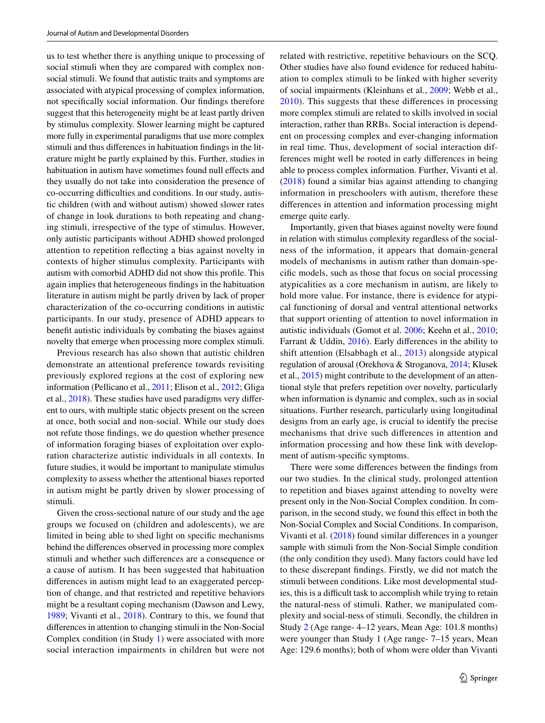us to test whether there is anything unique to processing of social stimuli when they are compared with complex nonsocial stimuli. We found that autistic traits and symptoms are associated with atypical processing of complex information, not specifcally social information. Our fndings therefore suggest that this heterogeneity might be at least partly driven by stimulus complexity. Slower learning might be captured more fully in experimental paradigms that use more complex stimuli and thus diferences in habituation fndings in the literature might be partly explained by this. Further, studies in habituation in autism have sometimes found null effects and they usually do not take into consideration the presence of co-occurring difficulties and conditions. In our study, autistic children (with and without autism) showed slower rates of change in look durations to both repeating and changing stimuli, irrespective of the type of stimulus. However, only autistic participants without ADHD showed prolonged attention to repetition refecting a bias against novelty in contexts of higher stimulus complexity. Participants with autism with comorbid ADHD did not show this profle. This again implies that heterogeneous fndings in the habituation literature in autism might be partly driven by lack of proper characterization of the co-occurring conditions in autistic participants. In our study, presence of ADHD appears to beneft autistic individuals by combating the biases against novelty that emerge when processing more complex stimuli.

Previous research has also shown that autistic children demonstrate an attentional preference towards revisiting previously explored regions at the cost of exploring new information (Pellicano et al., [2011;](#page-15-13) Elison et al., [2012;](#page-14-7) Gliga et al., [2018\)](#page-14-6). These studies have used paradigms very diferent to ours, with multiple static objects present on the screen at once, both social and non-social. While our study does not refute those fndings, we do question whether presence of information foraging biases of exploitation over exploration characterize autistic individuals in all contexts. In future studies, it would be important to manipulate stimulus complexity to assess whether the attentional biases reported in autism might be partly driven by slower processing of stimuli.

Given the cross-sectional nature of our study and the age groups we focused on (children and adolescents), we are limited in being able to shed light on specifc mechanisms behind the diferences observed in processing more complex stimuli and whether such diferences are a consequence or a cause of autism. It has been suggested that habituation diferences in autism might lead to an exaggerated perception of change, and that restricted and repetitive behaviors might be a resultant coping mechanism (Dawson and Lewy, [1989](#page-14-18); Vivanti et al., [2018](#page-16-1)). Contrary to this, we found that diferences in attention to changing stimuli in the Non-Social Complex condition (in Study [1\)](#page-3-0) were associated with more social interaction impairments in children but were not related with restrictive, repetitive behaviours on the SCQ. Other studies have also found evidence for reduced habituation to complex stimuli to be linked with higher severity of social impairments (Kleinhans et al., [2009;](#page-15-28) Webb et al., [2010\)](#page-16-0). This suggests that these diferences in processing more complex stimuli are related to skills involved in social interaction, rather than RRBs. Social interaction is dependent on processing complex and ever-changing information in real time. Thus, development of social interaction differences might well be rooted in early diferences in being able to process complex information. Further, Vivanti et al. ([2018](#page-16-1)) found a similar bias against attending to changing information in preschoolers with autism, therefore these diferences in attention and information processing might emerge quite early.

Importantly, given that biases against novelty were found in relation with stimulus complexity regardless of the socialness of the information, it appears that domain-general models of mechanisms in autism rather than domain-specifc models, such as those that focus on social processing atypicalities as a core mechanism in autism, are likely to hold more value. For instance, there is evidence for atypical functioning of dorsal and ventral attentional networks that support orienting of attention to novel information in autistic individuals (Gomot et al. [2006](#page-14-19); Keehn et al., [2010](#page-15-29); Farrant & Uddin, [2016](#page-14-20)). Early diferences in the ability to shift attention (Elsabbagh et al., [2013\)](#page-14-21) alongside atypical regulation of arousal (Orekhova & Stroganova, [2014](#page-15-30); Klusek et al., [2015](#page-15-31)) might contribute to the development of an attentional style that prefers repetition over novelty, particularly when information is dynamic and complex, such as in social situations. Further research, particularly using longitudinal designs from an early age, is crucial to identify the precise mechanisms that drive such diferences in attention and information processing and how these link with development of autism-specifc symptoms.

There were some diferences between the fndings from our two studies. In the clinical study, prolonged attention to repetition and biases against attending to novelty were present only in the Non-Social Complex condition. In comparison, in the second study, we found this efect in both the Non-Social Complex and Social Conditions. In comparison, Vivanti et al. [\(2018\)](#page-16-1) found similar diferences in a younger sample with stimuli from the Non-Social Simple condition (the only condition they used). Many factors could have led to these discrepant fndings. Firstly, we did not match the stimuli between conditions. Like most developmental studies, this is a difficult task to accomplish while trying to retain the natural-ness of stimuli. Rather, we manipulated complexity and social-ness of stimuli. Secondly, the children in Study [2](#page-9-0) (Age range- 4–12 years, Mean Age: 101.8 months) were younger than Study 1 (Age range- 7–15 years, Mean Age: 129.6 months); both of whom were older than Vivanti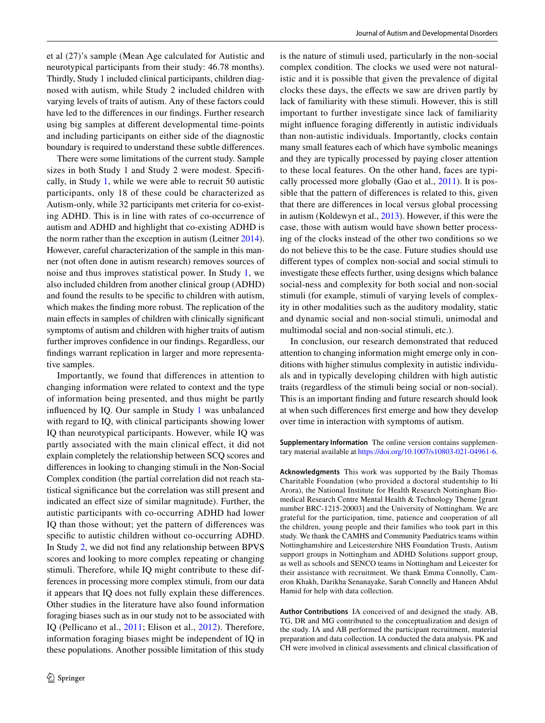et al (27)'s sample (Mean Age calculated for Autistic and neurotypical participants from their study: 46.78 months). Thirdly, Study 1 included clinical participants, children diagnosed with autism, while Study 2 included children with varying levels of traits of autism. Any of these factors could have led to the diferences in our fndings. Further research using big samples at diferent developmental time-points and including participants on either side of the diagnostic boundary is required to understand these subtle diferences.

There were some limitations of the current study. Sample sizes in both Study 1 and Study 2 were modest. Specifcally, in Study [1](#page-3-0), while we were able to recruit 50 autistic participants, only 18 of these could be characterized as Autism-only, while 32 participants met criteria for co-existing ADHD. This is in line with rates of co-occurrence of autism and ADHD and highlight that co-existing ADHD is the norm rather than the exception in autism (Leitner [2014](#page-15-16)). However, careful characterization of the sample in this manner (not often done in autism research) removes sources of noise and thus improves statistical power. In Study [1,](#page-3-0) we also included children from another clinical group (ADHD) and found the results to be specifc to children with autism, which makes the fnding more robust. The replication of the main effects in samples of children with clinically significant symptoms of autism and children with higher traits of autism further improves confdence in our fndings. Regardless, our fndings warrant replication in larger and more representative samples.

Importantly, we found that diferences in attention to changing information were related to context and the type of information being presented, and thus might be partly infuenced by IQ. Our sample in Study [1](#page-3-0) was unbalanced with regard to IQ, with clinical participants showing lower IQ than neurotypical participants. However, while IQ was partly associated with the main clinical efect, it did not explain completely the relationship between SCQ scores and diferences in looking to changing stimuli in the Non-Social Complex condition (the partial correlation did not reach statistical signifcance but the correlation was still present and indicated an efect size of similar magnitude). Further, the autistic participants with co-occurring ADHD had lower IQ than those without; yet the pattern of diferences was specifc to autistic children without co-occurring ADHD. In Study [2](#page-9-0), we did not fnd any relationship between BPVS scores and looking to more complex repeating or changing stimuli. Therefore, while IQ might contribute to these differences in processing more complex stimuli, from our data it appears that IQ does not fully explain these diferences. Other studies in the literature have also found information foraging biases such as in our study not to be associated with IQ (Pellicano et al., [2011;](#page-15-13) Elison et al., [2012](#page-14-7)). Therefore, information foraging biases might be independent of IQ in these populations. Another possible limitation of this study

is the nature of stimuli used, particularly in the non-social complex condition. The clocks we used were not naturalistic and it is possible that given the prevalence of digital clocks these days, the efects we saw are driven partly by lack of familiarity with these stimuli. However, this is still important to further investigate since lack of familiarity might infuence foraging diferently in autistic individuals than non-autistic individuals. Importantly, clocks contain many small features each of which have symbolic meanings and they are typically processed by paying closer attention to these local features. On the other hand, faces are typically processed more globally (Gao et al., [2011](#page-14-22)). It is possible that the pattern of diferences is related to this, given that there are diferences in local versus global processing in autism (Koldewyn et al., [2013](#page-15-32)). However, if this were the case, those with autism would have shown better processing of the clocks instead of the other two conditions so we do not believe this to be the case. Future studies should use diferent types of complex non-social and social stimuli to investigate these efects further, using designs which balance social-ness and complexity for both social and non-social stimuli (for example, stimuli of varying levels of complexity in other modalities such as the auditory modality, static and dynamic social and non-social stimuli, unimodal and multimodal social and non-social stimuli, etc.).

In conclusion, our research demonstrated that reduced attention to changing information might emerge only in conditions with higher stimulus complexity in autistic individuals and in typically developing children with high autistic traits (regardless of the stimuli being social or non-social). This is an important fnding and future research should look at when such diferences frst emerge and how they develop over time in interaction with symptoms of autism.

**Supplementary Information** The online version contains supplementary material available at<https://doi.org/10.1007/s10803-021-04961-6>.

**Acknowledgments** This work was supported by the Baily Thomas Charitable Foundation (who provided a doctoral studentship to Iti Arora), the National Institute for Health Research Nottingham Biomedical Research Centre Mental Health & Technology Theme [grant number BRC-1215-20003] and the University of Nottingham. We are grateful for the participation, time, patience and cooperation of all the children, young people and their families who took part in this study. We thank the CAMHS and Community Paediatrics teams within Nottinghamshire and Leicestershire NHS Foundation Trusts, Autism support groups in Nottingham and ADHD Solutions support group, as well as schools and SENCO teams in Nottingham and Leicester for their assistance with recruitment. We thank Emma Connolly, Cameron Khakh, Darikha Senanayake, Sarah Connelly and Haneen Abdul Hamid for help with data collection.

**Author Contributions** IA conceived of and designed the study. AB, TG, DR and MG contributed to the conceptualization and design of the study. IA and AB performed the participant recruitment, material preparation and data collection. IA conducted the data analysis. PK and CH were involved in clinical assessments and clinical classifcation of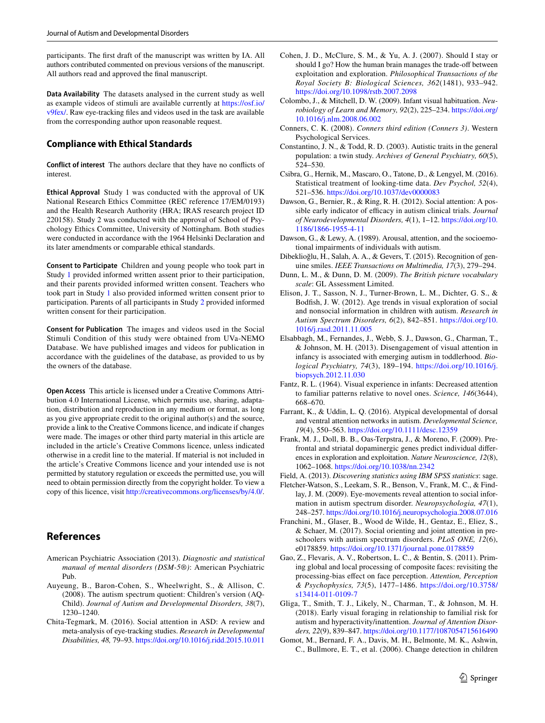participants. The frst draft of the manuscript was written by IA. All authors contributed commented on previous versions of the manuscript. All authors read and approved the fnal manuscript.

**Data Availability** The datasets analysed in the current study as well as example videos of stimuli are available currently at [https://osf.io/](https://osf.io/v9fex/) [v9fex/](https://osf.io/v9fex/). Raw eye-tracking fles and videos used in the task are available from the corresponding author upon reasonable request.

# **Compliance with Ethical Standards**

**Conflict of interest** The authors declare that they have no conficts of interest.

**Ethical Approval** Study 1 was conducted with the approval of UK National Research Ethics Committee (REC reference 17/EM/0193) and the Health Research Authority (HRA; IRAS research project ID 220158). Study 2 was conducted with the approval of School of Psychology Ethics Committee, University of Nottingham. Both studies were conducted in accordance with the 1964 Helsinki Declaration and its later amendments or comparable ethical standards.

**Consent to Participate** Children and young people who took part in Study [1](#page-3-0) provided informed written assent prior to their participation, and their parents provided informed written consent. Teachers who took part in Study [1](#page-3-0) also provided informed written consent prior to participation. Parents of all participants in Study [2](#page-9-0) provided informed written consent for their participation.

**Consent for Publication** The images and videos used in the Social Stimuli Condition of this study were obtained from UVa-NEMO Database. We have published images and videos for publication in accordance with the guidelines of the database, as provided to us by the owners of the database.

**Open Access** This article is licensed under a Creative Commons Attribution 4.0 International License, which permits use, sharing, adaptation, distribution and reproduction in any medium or format, as long as you give appropriate credit to the original author(s) and the source, provide a link to the Creative Commons licence, and indicate if changes were made. The images or other third party material in this article are included in the article's Creative Commons licence, unless indicated otherwise in a credit line to the material. If material is not included in the article's Creative Commons licence and your intended use is not permitted by statutory regulation or exceeds the permitted use, you will need to obtain permission directly from the copyright holder. To view a copy of this licence, visit <http://creativecommons.org/licenses/by/4.0/>.

# **References**

- <span id="page-14-0"></span>American Psychiatric Association (2013). *Diagnostic and statistical manual of mental disorders (DSM-5®)*: American Psychiatric Pub.
- <span id="page-14-17"></span>Auyeung, B., Baron-Cohen, S., Wheelwright, S., & Allison, C. (2008). The autism spectrum quotient: Children's version (AQ-Child). *Journal of Autism and Developmental Disorders, 38*(7), 1230–1240.
- <span id="page-14-11"></span>Chita-Tegmark, M. (2016). Social attention in ASD: A review and meta-analysis of eye-tracking studies. *Research in Developmental Disabilities, 48,* 79–93.<https://doi.org/10.1016/j.ridd.2015.10.011>
- <span id="page-14-5"></span>Cohen, J. D., McClure, S. M., & Yu, A. J. (2007). Should I stay or should I go? How the human brain manages the trade-off between exploitation and exploration. *Philosophical Transactions of the Royal Society B: Biological Sciences, 362*(1481), 933–942. <https://doi.org/10.1098/rstb.2007.2098>
- <span id="page-14-4"></span>Colombo, J., & Mitchell, D. W. (2009). Infant visual habituation. *Neurobiology of Learn and Memory, 92*(2), 225–234. [https://doi.org/](https://doi.org/10.1016/j.nlm.2008.06.002) [10.1016/j.nlm.2008.06.002](https://doi.org/10.1016/j.nlm.2008.06.002)
- <span id="page-14-12"></span>Conners, C. K. (2008). *Conners third edition (Conners 3)*. Western Psychological Services.
- <span id="page-14-15"></span>Constantino, J. N., & Todd, R. D. (2003). Autistic traits in the general population: a twin study. *Archives of General Psychiatry, 60*(5), 524–530.
- <span id="page-14-3"></span>Csibra, G., Hernik, M., Mascaro, O., Tatone, D., & Lengyel, M. (2016). Statistical treatment of looking-time data. *Dev Psychol, 52*(4), 521–536.<https://doi.org/10.1037/dev0000083>
- <span id="page-14-10"></span>Dawson, G., Bernier, R., & Ring, R. H. (2012). Social attention: A possible early indicator of efficacy in autism clinical trials. *Journal of Neurodevelopmental Disorders, 4*(1), 1–12. [https://doi.org/10.](https://doi.org/10.1186/1866-1955-4-11) [1186/1866-1955-4-11](https://doi.org/10.1186/1866-1955-4-11)
- <span id="page-14-18"></span>Dawson, G., & Lewy, A. (1989). Arousal, attention, and the socioemotional impairments of individuals with autism.
- <span id="page-14-13"></span>Dibeklioğlu, H., Salah, A. A., & Gevers, T. (2015). Recognition of genuine smiles. *IEEE Transactions on Multimedia, 17*(3), 279–294.
- <span id="page-14-16"></span>Dunn, L. M., & Dunn, D. M. (2009). *The British picture vocabulary scale*: GL Assessment Limited.
- <span id="page-14-7"></span>Elison, J. T., Sasson, N. J., Turner-Brown, L. M., Dichter, G. S., & Bodfsh, J. W. (2012). Age trends in visual exploration of social and nonsocial information in children with autism. *Research in Autism Spectrum Disorders, 6*(2), 842–851. [https://doi.org/10.](https://doi.org/10.1016/j.rasd.2011.11.005) [1016/j.rasd.2011.11.005](https://doi.org/10.1016/j.rasd.2011.11.005)
- <span id="page-14-21"></span>Elsabbagh, M., Fernandes, J., Webb, S. J., Dawson, G., Charman, T., & Johnson, M. H. (2013). Disengagement of visual attention in infancy is associated with emerging autism in toddlerhood. *Biological Psychiatry, 74*(3), 189–194. [https://doi.org/10.1016/j.](https://doi.org/10.1016/j.biopsych.2012.11.030) [biopsych.2012.11.030](https://doi.org/10.1016/j.biopsych.2012.11.030)
- <span id="page-14-9"></span>Fantz, R. L. (1964). Visual experience in infants: Decreased attention to familiar patterns relative to novel ones. *Science, 146*(3644), 668–670.
- <span id="page-14-20"></span>Farrant, K., & Uddin, L. Q. (2016). Atypical developmental of dorsal and ventral attention networks in autism. *Developmental Science, 19*(4), 550–563.<https://doi.org/10.1111/desc.12359>
- <span id="page-14-8"></span>Frank, M. J., Doll, B. B., Oas-Terpstra, J., & Moreno, F. (2009). Prefrontal and striatal dopaminergic genes predict individual diferences in exploration and exploitation. *Nature Neuroscience, 12*(8), 1062–1068.<https://doi.org/10.1038/nn.2342>
- <span id="page-14-14"></span><span id="page-14-1"></span>Field, A. (2013). *Discovering statistics using IBM SPSS statistics*: sage. Fletcher-Watson, S., Leekam, S. R., Benson, V., Frank, M. C., & Findlay, J. M. (2009). Eye-movements reveal attention to social information in autism spectrum disorder. *Neuropsychologia, 47*(1),
- <span id="page-14-2"></span>248–257. <https://doi.org/10.1016/j.neuropsychologia.2008.07.016> Franchini, M., Glaser, B., Wood de Wilde, H., Gentaz, E., Eliez, S., & Schaer, M. (2017). Social orienting and joint attention in preschoolers with autism spectrum disorders. *PLoS ONE, 12*(6), e0178859.<https://doi.org/10.1371/journal.pone.0178859>
- <span id="page-14-22"></span>Gao, Z., Flevaris, A. V., Robertson, L. C., & Bentin, S. (2011). Priming global and local processing of composite faces: revisiting the processing-bias efect on face perception. *Attention, Perception & Psychophysics, 73*(5), 1477–1486. [https://doi.org/10.3758/](https://doi.org/10.3758/s13414-011-0109-7) [s13414-011-0109-7](https://doi.org/10.3758/s13414-011-0109-7)
- <span id="page-14-6"></span>Gliga, T., Smith, T. J., Likely, N., Charman, T., & Johnson, M. H. (2018). Early visual foraging in relationship to familial risk for autism and hyperactivity/inattention. *Journal of Attention Disorders, 22*(9), 839–847.<https://doi.org/10.1177/1087054715616490>
- <span id="page-14-19"></span>Gomot, M., Bernard, F. A., Davis, M. H., Belmonte, M. K., Ashwin, C., Bullmore, E. T., et al. (2006). Change detection in children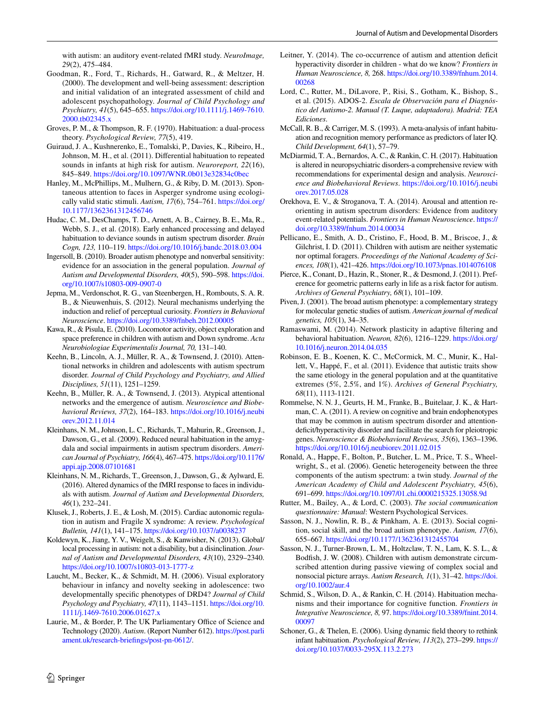with autism: an auditory event-related fMRI study. *NeuroImage, 29*(2), 475–484.

- <span id="page-15-18"></span>Goodman, R., Ford, T., Richards, H., Gatward, R., & Meltzer, H. (2000). The development and well-being assessment: description and initial validation of an integrated assessment of child and adolescent psychopathology. *Journal of Child Psychology and Psychiatry, 41*(5), 645–655. [https://doi.org/10.1111/j.1469-7610.](https://doi.org/10.1111/j.1469-7610.2000.tb02345.x) [2000.tb02345.x](https://doi.org/10.1111/j.1469-7610.2000.tb02345.x)
- <span id="page-15-4"></span>Groves, P. M., & Thompson, R. F. (1970). Habituation: a dual-process theory. *Psychological Review, 77*(5), 419.
- <span id="page-15-9"></span>Guiraud, J. A., Kushnerenko, E., Tomalski, P., Davies, K., Ribeiro, H., Johnson, M. H., et al. (2011). Diferential habituation to repeated sounds in infants at high risk for autism. *Neuroreport, 22*(16), 845–849.<https://doi.org/10.1097/WNR.0b013e32834c0bec>
- <span id="page-15-22"></span>Hanley, M., McPhillips, M., Mulhern, G., & Riby, D. M. (2013). Spontaneous attention to faces in Asperger syndrome using ecologically valid static stimuli. *Autism, 17*(6), 754–761. [https://doi.org/](https://doi.org/10.1177/1362361312456746) [10.1177/1362361312456746](https://doi.org/10.1177/1362361312456746)
- <span id="page-15-10"></span>Hudac, C. M., DesChamps, T. D., Arnett, A. B., Cairney, B. E., Ma, R., Webb, S. J., et al. (2018). Early enhanced processing and delayed habituation to deviance sounds in autism spectrum disorder. *Brain Cogn, 123,* 110–119.<https://doi.org/10.1016/j.bandc.2018.03.004>
- <span id="page-15-26"></span>Ingersoll, B. (2010). Broader autism phenotype and nonverbal sensitivity: evidence for an association in the general population. *Journal of Autism and Developmental Disorders, 40*(5), 590–598. [https://doi.](https://doi.org/10.1007/s10803-009-0907-0) [org/10.1007/s10803-009-0907-0](https://doi.org/10.1007/s10803-009-0907-0)
- <span id="page-15-15"></span>Jepma, M., Verdonschot, R. G., van Steenbergen, H., Rombouts, S. A. R. B., & Nieuwenhuis, S. (2012). Neural mechanisms underlying the induction and relief of perceptual curiosity. *Frontiers in Behavioral Neuroscience*.<https://doi.org/10.3389/fnbeh.2012.00005>
- <span id="page-15-21"></span>Kawa, R., & Pisula, E. (2010). Locomotor activity, object exploration and space preference in children with autism and Down syndrome. *Acta Neurobiologiae Experimentalis Journal, 70,* 131–140.
- <span id="page-15-29"></span>Keehn, B., Lincoln, A. J., Müller, R. A., & Townsend, J. (2010). Attentional networks in children and adolescents with autism spectrum disorder. *Journal of Child Psychology and Psychiatry, and Allied Disciplines, 51*(11), 1251–1259.
- <span id="page-15-14"></span>Keehn, B., Müller, R. A., & Townsend, J. (2013). Atypical attentional networks and the emergence of autism. *Neuroscience and Biobehavioral Reviews, 37*(2), 164–183. [https://doi.org/10.1016/j.neubi](https://doi.org/10.1016/j.neubiorev.2012.11.014) [orev.2012.11.014](https://doi.org/10.1016/j.neubiorev.2012.11.014)
- <span id="page-15-28"></span>Kleinhans, N. M., Johnson, L. C., Richards, T., Mahurin, R., Greenson, J., Dawson, G., et al. (2009). Reduced neural habituation in the amygdala and social impairments in autism spectrum disorders. *American Journal of Psychiatry, 166*(4), 467–475. [https://doi.org/10.1176/](https://doi.org/10.1176/appi.ajp.2008.07101681) [appi.ajp.2008.07101681](https://doi.org/10.1176/appi.ajp.2008.07101681)
- <span id="page-15-11"></span>Kleinhans, N. M., Richards, T., Greenson, J., Dawson, G., & Aylward, E. (2016). Altered dynamics of the fMRI response to faces in individuals with autism. *Journal of Autism and Developmental Disorders, 46*(1), 232–241.
- <span id="page-15-31"></span>Klusek, J., Roberts, J. E., & Losh, M. (2015). Cardiac autonomic regulation in autism and Fragile X syndrome: A review. *Psychological Bulletin, 141*(1), 141–175. <https://doi.org/10.1037/a0038237>
- <span id="page-15-32"></span>Koldewyn, K., Jiang, Y. V., Weigelt, S., & Kanwisher, N. (2013). Global/ local processing in autism: not a disability, but a disinclination. *Journal of Autism and Developmental Disorders, 43*(10), 2329–2340. <https://doi.org/10.1007/s10803-013-1777-z>
- <span id="page-15-8"></span>Laucht, M., Becker, K., & Schmidt, M. H. (2006). Visual exploratory behaviour in infancy and novelty seeking in adolescence: two developmentally specifc phenotypes of DRD4? *Journal of Child Psychology and Psychiatry, 47*(11), 1143–1151. [https://doi.org/10.](https://doi.org/10.1111/j.1469-7610.2006.01627.x) [1111/j.1469-7610.2006.01627.x](https://doi.org/10.1111/j.1469-7610.2006.01627.x)
- <span id="page-15-0"></span>Laurie, M., & Border, P. The UK Parliamentary Office of Science and Technology (2020). *Autism*. (Report Number 612). [https://post.parli](https://post.parliament.uk/research-briefings/post-pn-0612/) [ament.uk/research-briefings/post-pn-0612/.](https://post.parliament.uk/research-briefings/post-pn-0612/)
- <span id="page-15-16"></span>Leitner, Y. (2014). The co-occurrence of autism and attention deficit hyperactivity disorder in children - what do we know? *Frontiers in Human Neuroscience, 8,* 268. [https://doi.org/10.3389/fnhum.2014.](https://doi.org/10.3389/fnhum.2014.00268) [00268](https://doi.org/10.3389/fnhum.2014.00268)
- <span id="page-15-20"></span>Lord, C., Rutter, M., DiLavore, P., Risi, S., Gotham, K., Bishop, S., et al. (2015). ADOS-2. *Escala de Observación para el Diagnóstico del Autismo-2. Manual (T. Luque, adaptadora). Madrid: TEA Ediciones*.
- <span id="page-15-7"></span>McCall, R. B., & Carriger, M. S. (1993). A meta-analysis of infant habituation and recognition memory performance as predictors of later IQ. *Child Development, 64*(1), 57–79.
- <span id="page-15-3"></span>McDiarmid, T. A., Bernardos, A. C., & Rankin, C. H. (2017). Habituation is altered in neuropsychiatric disorders-a comprehensive review with recommendations for experimental design and analysis. *Neuroscience and Biobehavioral Reviews*. [https://doi.org/10.1016/j.neubi](https://doi.org/10.1016/j.neubiorev.2017.05.028) [orev.2017.05.028](https://doi.org/10.1016/j.neubiorev.2017.05.028)
- <span id="page-15-30"></span>Orekhova, E. V., & Stroganova, T. A. (2014). Arousal and attention reorienting in autism spectrum disorders: Evidence from auditory event-related potentials. *Frontiers in Human Neuroscience*. [https://](https://doi.org/10.3389/fnhum.2014.00034) [doi.org/10.3389/fnhum.2014.00034](https://doi.org/10.3389/fnhum.2014.00034)
- <span id="page-15-13"></span>Pellicano, E., Smith, A. D., Cristino, F., Hood, B. M., Briscoe, J., & Gilchrist, I. D. (2011). Children with autism are neither systematic nor optimal foragers. *Proceedings of the National Academy of Sciences, 108*(1), 421–426.<https://doi.org/10.1073/pnas.1014076108>
- <span id="page-15-1"></span>Pierce, K., Conant, D., Hazin, R., Stoner, R., & Desmond, J. (2011). Preference for geometric patterns early in life as a risk factor for autism. *Archives of General Psychiatry, 68*(1), 101–109.
- <span id="page-15-23"></span>Piven, J. (2001). The broad autism phenotype: a complementary strategy for molecular genetic studies of autism. *American journal of medical genetics, 105*(1), 34–35.
- <span id="page-15-2"></span>Ramaswami, M. (2014). Network plasticity in adaptive fltering and behavioral habituation. *Neuron, 82*(6), 1216–1229. [https://doi.org/](https://doi.org/10.1016/j.neuron.2014.04.035) [10.1016/j.neuron.2014.04.035](https://doi.org/10.1016/j.neuron.2014.04.035)
- <span id="page-15-24"></span>Robinson, E. B., Koenen, K. C., McCormick, M. C., Munir, K., Hallett, V., Happé, F., et al. (2011). Evidence that autistic traits show the same etiology in the general population and at the quantitative extremes (5%, 2.5%, and 1%). *Archives of General Psychiatry, 68*(11), 1113-1121.
- <span id="page-15-17"></span>Rommelse, N. N. J., Geurts, H. M., Franke, B., Buitelaar, J. K., & Hartman, C. A. (2011). A review on cognitive and brain endophenotypes that may be common in autism spectrum disorder and attentiondeficit/hyperactivity disorder and facilitate the search for pleiotropic genes. *Neuroscience & Biobehavioral Reviews, 35*(6), 1363–1396. <https://doi.org/10.1016/j.neubiorev.2011.02.015>
- <span id="page-15-25"></span>Ronald, A., Happe, F., Bolton, P., Butcher, L. M., Price, T. S., Wheelwright, S., et al. (2006). Genetic heterogeneity between the three components of the autism spectrum: a twin study. *Journal of the American Academy of Child and Adolescent Psychiatry, 45*(6), 691–699.<https://doi.org/10.1097/01.chi.0000215325.13058.9d>
- <span id="page-15-19"></span>Rutter, M., Bailey, A., & Lord, C. (2003). *The social communication questionnaire: Manual*: Western Psychological Services.
- <span id="page-15-27"></span>Sasson, N. J., Nowlin, R. B., & Pinkham, A. E. (2013). Social cognition, social skill, and the broad autism phenotype. *Autism, 17*(6), 655–667.<https://doi.org/10.1177/1362361312455704>
- <span id="page-15-12"></span>Sasson, N. J., Turner-Brown, L. M., Holtzclaw, T. N., Lam, K. S. L., & Bodfish, J. W. (2008). Children with autism demonstrate circumscribed attention during passive viewing of complex social and nonsocial picture arrays. *Autism Research, 1*(1), 31–42. [https://doi.](https://doi.org/10.1002/aur.4) [org/10.1002/aur.4](https://doi.org/10.1002/aur.4)
- <span id="page-15-5"></span>Schmid, S., Wilson, D. A., & Rankin, C. H. (2014). Habituation mechanisms and their importance for cognitive function. *Frontiers in Integrative Neuroscience, 8,* 97. [https://doi.org/10.3389/fnint.2014.](https://doi.org/10.3389/fnint.2014.00097) [00097](https://doi.org/10.3389/fnint.2014.00097)
- <span id="page-15-6"></span>Schoner, G., & Thelen, E. (2006). Using dynamic feld theory to rethink infant habituation. *Psychological Review, 113*(2), 273–299. [https://](https://doi.org/10.1037/0033-295X.113.2.273) [doi.org/10.1037/0033-295X.113.2.273](https://doi.org/10.1037/0033-295X.113.2.273)